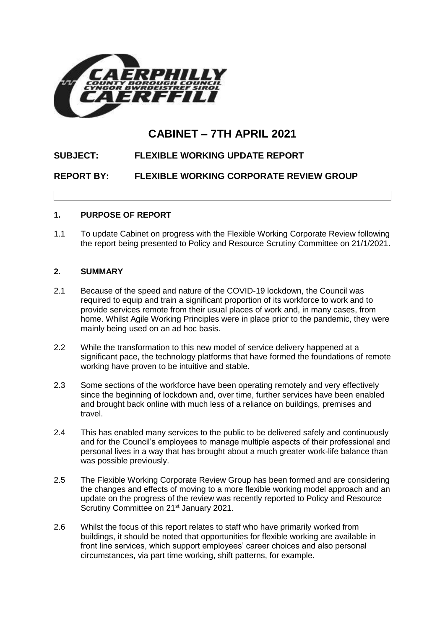

# **CABINET – 7TH APRIL 2021**

## **SUBJECT: FLEXIBLE WORKING UPDATE REPORT**

**REPORT BY: FLEXIBLE WORKING CORPORATE REVIEW GROUP**

#### **1. PURPOSE OF REPORT**

1.1 To update Cabinet on progress with the Flexible Working Corporate Review following the report being presented to Policy and Resource Scrutiny Committee on 21/1/2021.

#### **2. SUMMARY**

- 2.1 Because of the speed and nature of the COVID-19 lockdown, the Council was required to equip and train a significant proportion of its workforce to work and to provide services remote from their usual places of work and, in many cases, from home. Whilst Agile Working Principles were in place prior to the pandemic, they were mainly being used on an ad hoc basis.
- 2.2 While the transformation to this new model of service delivery happened at a significant pace, the technology platforms that have formed the foundations of remote working have proven to be intuitive and stable.
- 2.3 Some sections of the workforce have been operating remotely and very effectively since the beginning of lockdown and, over time, further services have been enabled and brought back online with much less of a reliance on buildings, premises and travel.
- 2.4 This has enabled many services to the public to be delivered safely and continuously and for the Council's employees to manage multiple aspects of their professional and personal lives in a way that has brought about a much greater work-life balance than was possible previously.
- 2.5 The Flexible Working Corporate Review Group has been formed and are considering the changes and effects of moving to a more flexible working model approach and an update on the progress of the review was recently reported to Policy and Resource Scrutiny Committee on 21<sup>st</sup> January 2021.
- 2.6 Whilst the focus of this report relates to staff who have primarily worked from buildings, it should be noted that opportunities for flexible working are available in front line services, which support employees' career choices and also personal circumstances, via part time working, shift patterns, for example.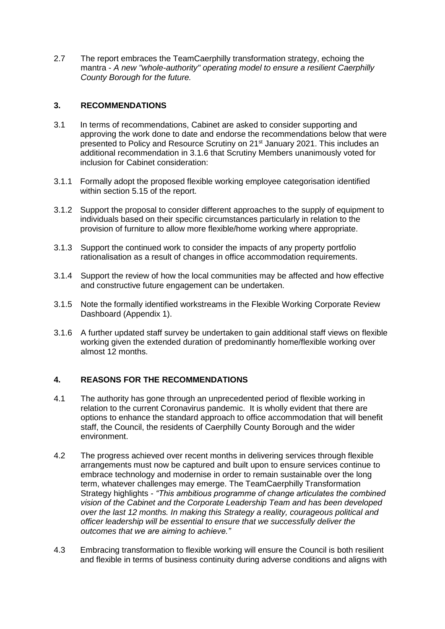2.7 The report embraces the TeamCaerphilly transformation strategy, echoing the mantra - *A new "whole-authority" operating model to ensure a resilient Caerphilly County Borough for the future.*

#### **3. RECOMMENDATIONS**

- 3.1 In terms of recommendations, Cabinet are asked to consider supporting and approving the work done to date and endorse the recommendations below that were presented to Policy and Resource Scrutiny on 21<sup>st</sup> January 2021. This includes an additional recommendation in 3.1.6 that Scrutiny Members unanimously voted for inclusion for Cabinet consideration:
- 3.1.1 Formally adopt the proposed flexible working employee categorisation identified within section 5.15 of the report.
- 3.1.2 Support the proposal to consider different approaches to the supply of equipment to individuals based on their specific circumstances particularly in relation to the provision of furniture to allow more flexible/home working where appropriate.
- 3.1.3 Support the continued work to consider the impacts of any property portfolio rationalisation as a result of changes in office accommodation requirements.
- 3.1.4 Support the review of how the local communities may be affected and how effective and constructive future engagement can be undertaken.
- 3.1.5 Note the formally identified workstreams in the Flexible Working Corporate Review Dashboard (Appendix 1).
- 3.1.6 A further updated staff survey be undertaken to gain additional staff views on flexible working given the extended duration of predominantly home/flexible working over almost 12 months.

#### **4. REASONS FOR THE RECOMMENDATIONS**

- 4.1 The authority has gone through an unprecedented period of flexible working in relation to the current Coronavirus pandemic. It is wholly evident that there are options to enhance the standard approach to office accommodation that will benefit staff, the Council, the residents of Caerphilly County Borough and the wider environment.
- 4.2 The progress achieved over recent months in delivering services through flexible arrangements must now be captured and built upon to ensure services continue to embrace technology and modernise in order to remain sustainable over the long term, whatever challenges may emerge. The TeamCaerphilly Transformation Strategy highlights - *"This ambitious programme of change articulates the combined vision of the Cabinet and the Corporate Leadership Team and has been developed over the last 12 months. In making this Strategy a reality, courageous political and officer leadership will be essential to ensure that we successfully deliver the outcomes that we are aiming to achieve."*
- 4.3 Embracing transformation to flexible working will ensure the Council is both resilient and flexible in terms of business continuity during adverse conditions and aligns with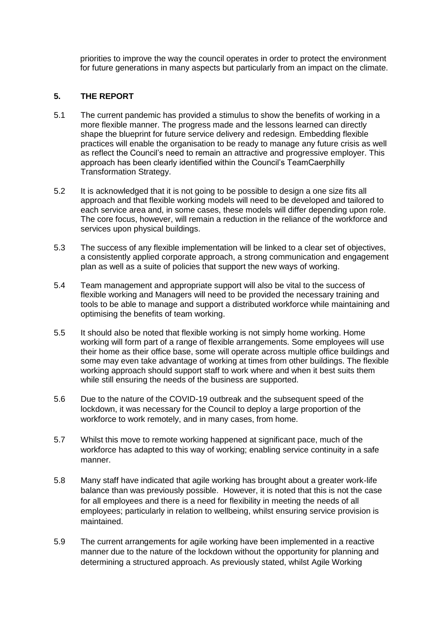priorities to improve the way the council operates in order to protect the environment for future generations in many aspects but particularly from an impact on the climate.

#### **5. THE REPORT**

- 5.1 The current pandemic has provided a stimulus to show the benefits of working in a more flexible manner. The progress made and the lessons learned can directly shape the blueprint for future service delivery and redesign. Embedding flexible practices will enable the organisation to be ready to manage any future crisis as well as reflect the Council's need to remain an attractive and progressive employer. This approach has been clearly identified within the Council's TeamCaerphilly Transformation Strategy.
- 5.2 It is acknowledged that it is not going to be possible to design a one size fits all approach and that flexible working models will need to be developed and tailored to each service area and, in some cases, these models will differ depending upon role. The core focus, however, will remain a reduction in the reliance of the workforce and services upon physical buildings.
- 5.3 The success of any flexible implementation will be linked to a clear set of objectives, a consistently applied corporate approach, a strong communication and engagement plan as well as a suite of policies that support the new ways of working.
- 5.4 Team management and appropriate support will also be vital to the success of flexible working and Managers will need to be provided the necessary training and tools to be able to manage and support a distributed workforce while maintaining and optimising the benefits of team working.
- 5.5 It should also be noted that flexible working is not simply home working. Home working will form part of a range of flexible arrangements. Some employees will use their home as their office base, some will operate across multiple office buildings and some may even take advantage of working at times from other buildings. The flexible working approach should support staff to work where and when it best suits them while still ensuring the needs of the business are supported.
- 5.6 Due to the nature of the COVID-19 outbreak and the subsequent speed of the lockdown, it was necessary for the Council to deploy a large proportion of the workforce to work remotely, and in many cases, from home.
- 5.7 Whilst this move to remote working happened at significant pace, much of the workforce has adapted to this way of working; enabling service continuity in a safe manner.
- 5.8 Many staff have indicated that agile working has brought about a greater work-life balance than was previously possible. However, it is noted that this is not the case for all employees and there is a need for flexibility in meeting the needs of all employees; particularly in relation to wellbeing, whilst ensuring service provision is maintained.
- 5.9 The current arrangements for agile working have been implemented in a reactive manner due to the nature of the lockdown without the opportunity for planning and determining a structured approach. As previously stated, whilst Agile Working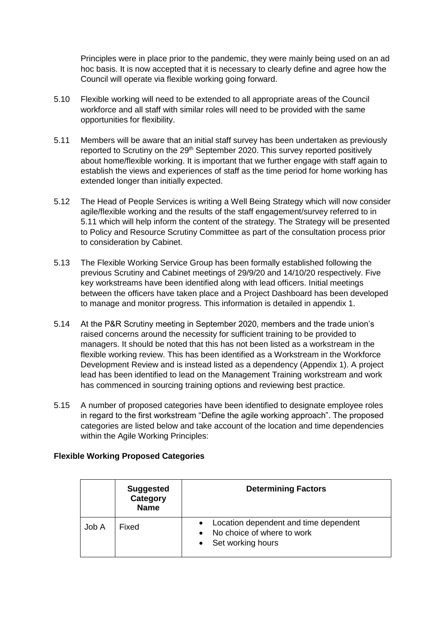Principles were in place prior to the pandemic, they were mainly being used on an ad hoc basis. It is now accepted that it is necessary to clearly define and agree how the Council will operate via flexible working going forward.

- 5.10 Flexible working will need to be extended to all appropriate areas of the Council workforce and all staff with similar roles will need to be provided with the same opportunities for flexibility.
- 5.11 Members will be aware that an initial staff survey has been undertaken as previously reported to Scrutiny on the 29<sup>th</sup> September 2020. This survey reported positively about home/flexible working. It is important that we further engage with staff again to establish the views and experiences of staff as the time period for home working has extended longer than initially expected.
- 5.12 The Head of People Services is writing a Well Being Strategy which will now consider agile/flexible working and the results of the staff engagement/survey referred to in 5.11 which will help inform the content of the strategy. The Strategy will be presented to Policy and Resource Scrutiny Committee as part of the consultation process prior to consideration by Cabinet.
- 5.13 The Flexible Working Service Group has been formally established following the previous Scrutiny and Cabinet meetings of 29/9/20 and 14/10/20 respectively. Five key workstreams have been identified along with lead officers. Initial meetings between the officers have taken place and a Project Dashboard has been developed to manage and monitor progress. This information is detailed in appendix 1.
- 5.14 At the P&R Scrutiny meeting in September 2020, members and the trade union's raised concerns around the necessity for sufficient training to be provided to managers. It should be noted that this has not been listed as a workstream in the flexible working review. This has been identified as a Workstream in the Workforce Development Review and is instead listed as a dependency (Appendix 1). A project lead has been identified to lead on the Management Training workstream and work has commenced in sourcing training options and reviewing best practice.
- 5.15 A number of proposed categories have been identified to designate employee roles in regard to the first workstream "Define the agile working approach". The proposed categories are listed below and take account of the location and time dependencies within the Agile Working Principles:

## **Flexible Working Proposed Categories**

|       | <b>Suggested</b><br><b>Category</b><br><b>Name</b> | <b>Determining Factors</b>                                                               |
|-------|----------------------------------------------------|------------------------------------------------------------------------------------------|
| Job A | Fixed                                              | Location dependent and time dependent<br>No choice of where to work<br>Set working hours |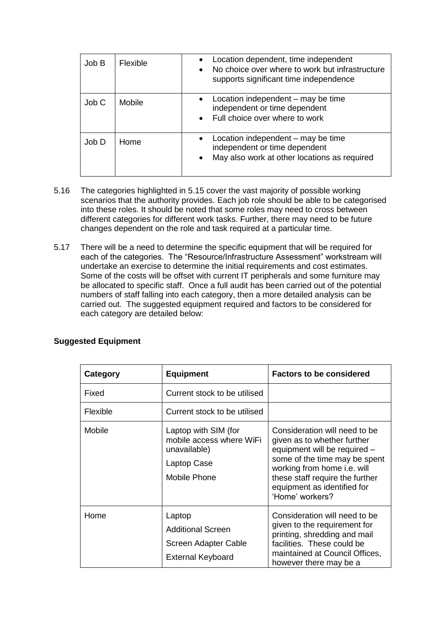| Job B | <b>Flexible</b> | Location dependent, time independent<br>No choice over where to work but infrastructure<br>$\bullet$<br>supports significant time independence |
|-------|-----------------|------------------------------------------------------------------------------------------------------------------------------------------------|
| Job C | Mobile          | Location independent – may be time<br>independent or time dependent<br>Full choice over where to work                                          |
| Job D | Home            | Location independent – may be time<br>$\bullet$<br>independent or time dependent<br>May also work at other locations as required               |

- 5.16 The categories highlighted in 5.15 cover the vast majority of possible working scenarios that the authority provides. Each job role should be able to be categorised into these roles. It should be noted that some roles may need to cross between different categories for different work tasks. Further, there may need to be future changes dependent on the role and task required at a particular time.
- 5.17 There will be a need to determine the specific equipment that will be required for each of the categories. The "Resource/Infrastructure Assessment" workstream will undertake an exercise to determine the initial requirements and cost estimates. Some of the costs will be offset with current IT peripherals and some furniture may be allocated to specific staff. Once a full audit has been carried out of the potential numbers of staff falling into each category, then a more detailed analysis can be carried out. The suggested equipment required and factors to be considered for each category are detailed below:

| Category | <b>Equipment</b>                                                                                | <b>Factors to be considered</b>                                                                                                                                                                                                                   |
|----------|-------------------------------------------------------------------------------------------------|---------------------------------------------------------------------------------------------------------------------------------------------------------------------------------------------------------------------------------------------------|
| Fixed    | Current stock to be utilised                                                                    |                                                                                                                                                                                                                                                   |
| Flexible | Current stock to be utilised                                                                    |                                                                                                                                                                                                                                                   |
| Mobile   | Laptop with SIM (for<br>mobile access where WiFi<br>unavailable)<br>Laptop Case<br>Mobile Phone | Consideration will need to be<br>given as to whether further<br>equipment will be required -<br>some of the time may be spent<br>working from home i.e. will<br>these staff require the further<br>equipment as identified for<br>'Home' workers? |
| Home     | Laptop<br><b>Additional Screen</b><br>Screen Adapter Cable<br><b>External Keyboard</b>          | Consideration will need to be<br>given to the requirement for<br>printing, shredding and mail<br>facilities. These could be<br>maintained at Council Offices,<br>however there may be a                                                           |

## **Suggested Equipment**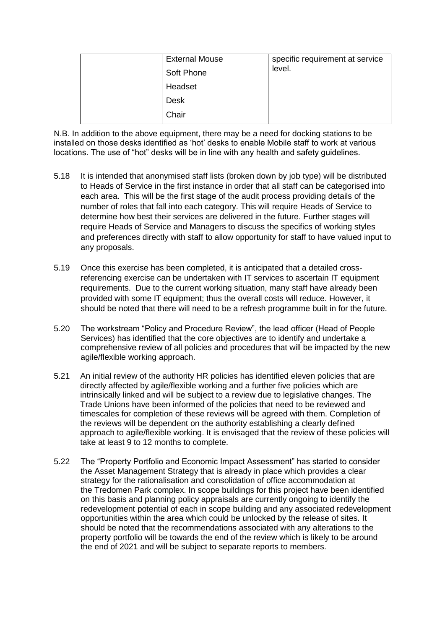| <b>External Mouse</b> | specific requirement at service<br>level. |
|-----------------------|-------------------------------------------|
| Soft Phone            |                                           |
| Headset               |                                           |
| <b>Desk</b>           |                                           |
| Chair                 |                                           |

N.B. In addition to the above equipment, there may be a need for docking stations to be installed on those desks identified as 'hot' desks to enable Mobile staff to work at various locations. The use of "hot" desks will be in line with any health and safety guidelines.

- 5.18 It is intended that anonymised staff lists (broken down by job type) will be distributed to Heads of Service in the first instance in order that all staff can be categorised into each area. This will be the first stage of the audit process providing details of the number of roles that fall into each category. This will require Heads of Service to determine how best their services are delivered in the future. Further stages will require Heads of Service and Managers to discuss the specifics of working styles and preferences directly with staff to allow opportunity for staff to have valued input to any proposals.
- 5.19 Once this exercise has been completed, it is anticipated that a detailed crossreferencing exercise can be undertaken with IT services to ascertain IT equipment requirements. Due to the current working situation, many staff have already been provided with some IT equipment; thus the overall costs will reduce. However, it should be noted that there will need to be a refresh programme built in for the future.
- 5.20 The workstream "Policy and Procedure Review", the lead officer (Head of People Services) has identified that the core objectives are to identify and undertake a comprehensive review of all policies and procedures that will be impacted by the new agile/flexible working approach.
- 5.21 An initial review of the authority HR policies has identified eleven policies that are directly affected by agile/flexible working and a further five policies which are intrinsically linked and will be subject to a review due to legislative changes. The Trade Unions have been informed of the policies that need to be reviewed and timescales for completion of these reviews will be agreed with them. Completion of the reviews will be dependent on the authority establishing a clearly defined approach to agile/flexible working. It is envisaged that the review of these policies will take at least 9 to 12 months to complete.
- 5.22 The "Property Portfolio and Economic Impact Assessment" has started to consider the Asset Management Strategy that is already in place which provides a clear strategy for the rationalisation and consolidation of office accommodation at the Tredomen Park complex. In scope buildings for this project have been identified on this basis and planning policy appraisals are currently ongoing to identify the redevelopment potential of each in scope building and any associated redevelopment opportunities within the area which could be unlocked by the release of sites. It should be noted that the recommendations associated with any alterations to the property portfolio will be towards the end of the review which is likely to be around the end of 2021 and will be subject to separate reports to members.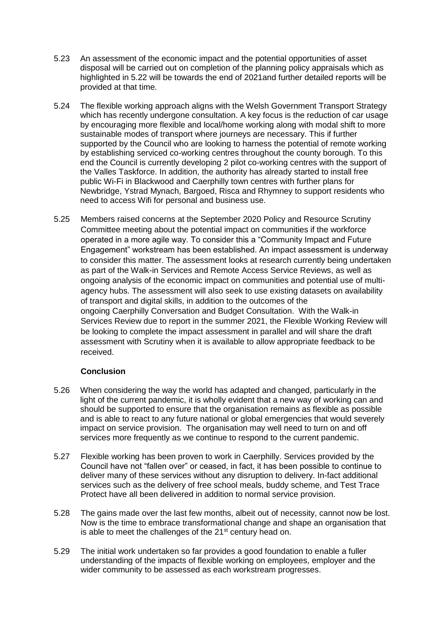- 5.23 An assessment of the economic impact and the potential opportunities of asset disposal will be carried out on completion of the planning policy appraisals which as highlighted in 5.22 will be towards the end of 2021and further detailed reports will be provided at that time.
- 5.24 The flexible working approach aligns with the Welsh Government Transport Strategy which has recently undergone consultation. A key focus is the reduction of car usage by encouraging more flexible and local/home working along with modal shift to more sustainable modes of transport where journeys are necessary. This if further supported by the Council who are looking to harness the potential of remote working by establishing serviced co-working centres throughout the county borough. To this end the Council is currently developing 2 pilot co-working centres with the support of the Valles Taskforce. In addition, the authority has already started to install free public Wi-Fi in Blackwood and Caerphilly town centres with further plans for Newbridge, Ystrad Mynach, Bargoed, Risca and Rhymney to support residents who need to access Wifi for personal and business use.
- 5.25 Members raised concerns at the September 2020 Policy and Resource Scrutiny Committee meeting about the potential impact on communities if the workforce operated in a more agile way. To consider this a "Community Impact and Future Engagement" workstream has been established. An impact assessment is underway to consider this matter. The assessment looks at research currently being undertaken as part of the Walk-in Services and Remote Access Service Reviews, as well as ongoing analysis of the economic impact on communities and potential use of multiagency hubs. The assessment will also seek to use existing datasets on availability of transport and digital skills, in addition to the outcomes of the ongoing Caerphilly Conversation and Budget Consultation. With the Walk-in Services Review due to report in the summer 2021, the Flexible Working Review will be looking to complete the impact assessment in parallel and will share the draft assessment with Scrutiny when it is available to allow appropriate feedback to be received.

## **Conclusion**

- 5.26 When considering the way the world has adapted and changed, particularly in the light of the current pandemic, it is wholly evident that a new way of working can and should be supported to ensure that the organisation remains as flexible as possible and is able to react to any future national or global emergencies that would severely impact on service provision. The organisation may well need to turn on and off services more frequently as we continue to respond to the current pandemic.
- 5.27 Flexible working has been proven to work in Caerphilly. Services provided by the Council have not "fallen over" or ceased, in fact, it has been possible to continue to deliver many of these services without any disruption to delivery. In-fact additional services such as the delivery of free school meals, buddy scheme, and Test Trace Protect have all been delivered in addition to normal service provision.
- 5.28 The gains made over the last few months, albeit out of necessity, cannot now be lost. Now is the time to embrace transformational change and shape an organisation that is able to meet the challenges of the  $21<sup>st</sup>$  century head on.
- 5.29 The initial work undertaken so far provides a good foundation to enable a fuller understanding of the impacts of flexible working on employees, employer and the wider community to be assessed as each workstream progresses.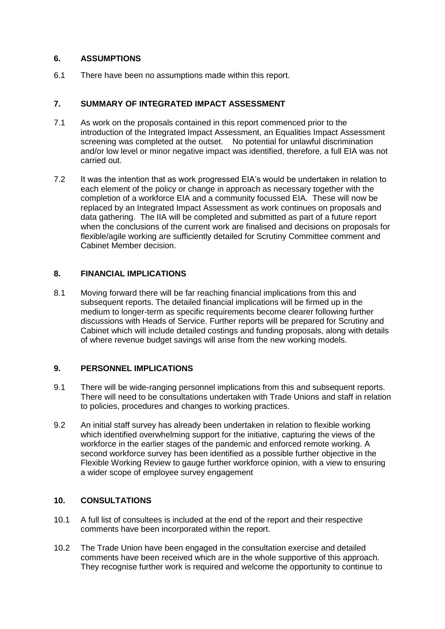#### **6. ASSUMPTIONS**

6.1 There have been no assumptions made within this report.

### **7. SUMMARY OF INTEGRATED IMPACT ASSESSMENT**

- 7.1 As work on the proposals contained in this report commenced prior to the introduction of the Integrated Impact Assessment, an Equalities Impact Assessment screening was completed at the outset. No potential for unlawful discrimination and/or low level or minor negative impact was identified, therefore, a full EIA was not carried out.
- 7.2 It was the intention that as work progressed EIA's would be undertaken in relation to each element of the policy or change in approach as necessary together with the completion of a workforce EIA and a community focussed EIA. These will now be replaced by an Integrated Impact Assessment as work continues on proposals and data gathering. The IIA will be completed and submitted as part of a future report when the conclusions of the current work are finalised and decisions on proposals for flexible/agile working are sufficiently detailed for Scrutiny Committee comment and Cabinet Member decision.

## **8. FINANCIAL IMPLICATIONS**

8.1 Moving forward there will be far reaching financial implications from this and subsequent reports. The detailed financial implications will be firmed up in the medium to longer-term as specific requirements become clearer following further discussions with Heads of Service. Further reports will be prepared for Scrutiny and Cabinet which will include detailed costings and funding proposals, along with details of where revenue budget savings will arise from the new working models.

## **9. PERSONNEL IMPLICATIONS**

- 9.1 There will be wide-ranging personnel implications from this and subsequent reports. There will need to be consultations undertaken with Trade Unions and staff in relation to policies, procedures and changes to working practices.
- 9.2 An initial staff survey has already been undertaken in relation to flexible working which identified overwhelming support for the initiative, capturing the views of the workforce in the earlier stages of the pandemic and enforced remote working. A second workforce survey has been identified as a possible further objective in the Flexible Working Review to gauge further workforce opinion, with a view to ensuring a wider scope of employee survey engagement

#### **10. CONSULTATIONS**

- 10.1 A full list of consultees is included at the end of the report and their respective comments have been incorporated within the report.
- 10.2 The Trade Union have been engaged in the consultation exercise and detailed comments have been received which are in the whole supportive of this approach. They recognise further work is required and welcome the opportunity to continue to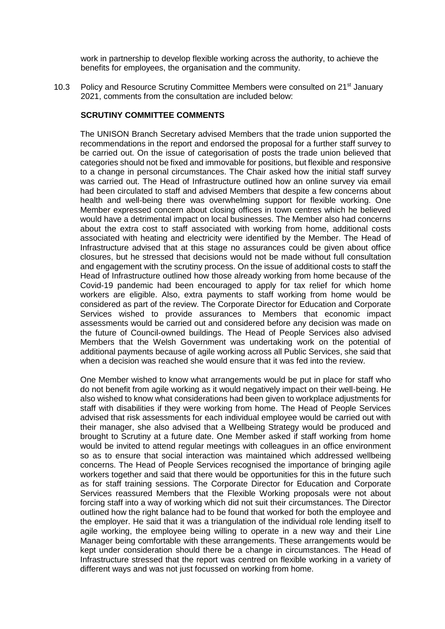work in partnership to develop flexible working across the authority, to achieve the benefits for employees, the organisation and the community.

10.3 Policy and Resource Scrutiny Committee Members were consulted on 21<sup>st</sup> January 2021, comments from the consultation are included below:

#### **SCRUTINY COMMITTEE COMMENTS**

The UNISON Branch Secretary advised Members that the trade union supported the recommendations in the report and endorsed the proposal for a further staff survey to be carried out. On the issue of categorisation of posts the trade union believed that categories should not be fixed and immovable for positions, but flexible and responsive to a change in personal circumstances. The Chair asked how the initial staff survey was carried out. The Head of Infrastructure outlined how an online survey via email had been circulated to staff and advised Members that despite a few concerns about health and well-being there was overwhelming support for flexible working. One Member expressed concern about closing offices in town centres which he believed would have a detrimental impact on local businesses. The Member also had concerns about the extra cost to staff associated with working from home, additional costs associated with heating and electricity were identified by the Member. The Head of Infrastructure advised that at this stage no assurances could be given about office closures, but he stressed that decisions would not be made without full consultation and engagement with the scrutiny process. On the issue of additional costs to staff the Head of Infrastructure outlined how those already working from home because of the Covid-19 pandemic had been encouraged to apply for tax relief for which home workers are eligible. Also, extra payments to staff working from home would be considered as part of the review. The Corporate Director for Education and Corporate Services wished to provide assurances to Members that economic impact assessments would be carried out and considered before any decision was made on the future of Council-owned buildings. The Head of People Services also advised Members that the Welsh Government was undertaking work on the potential of additional payments because of agile working across all Public Services, she said that when a decision was reached she would ensure that it was fed into the review.

One Member wished to know what arrangements would be put in place for staff who do not benefit from agile working as it would negatively impact on their well-being. He also wished to know what considerations had been given to workplace adjustments for staff with disabilities if they were working from home. The Head of People Services advised that risk assessments for each individual employee would be carried out with their manager, she also advised that a Wellbeing Strategy would be produced and brought to Scrutiny at a future date. One Member asked if staff working from home would be invited to attend regular meetings with colleagues in an office environment so as to ensure that social interaction was maintained which addressed wellbeing concerns. The Head of People Services recognised the importance of bringing agile workers together and said that there would be opportunities for this in the future such as for staff training sessions. The Corporate Director for Education and Corporate Services reassured Members that the Flexible Working proposals were not about forcing staff into a way of working which did not suit their circumstances. The Director outlined how the right balance had to be found that worked for both the employee and the employer. He said that it was a triangulation of the individual role lending itself to agile working, the employee being willing to operate in a new way and their Line Manager being comfortable with these arrangements. These arrangements would be kept under consideration should there be a change in circumstances. The Head of Infrastructure stressed that the report was centred on flexible working in a variety of different ways and was not just focussed on working from home.